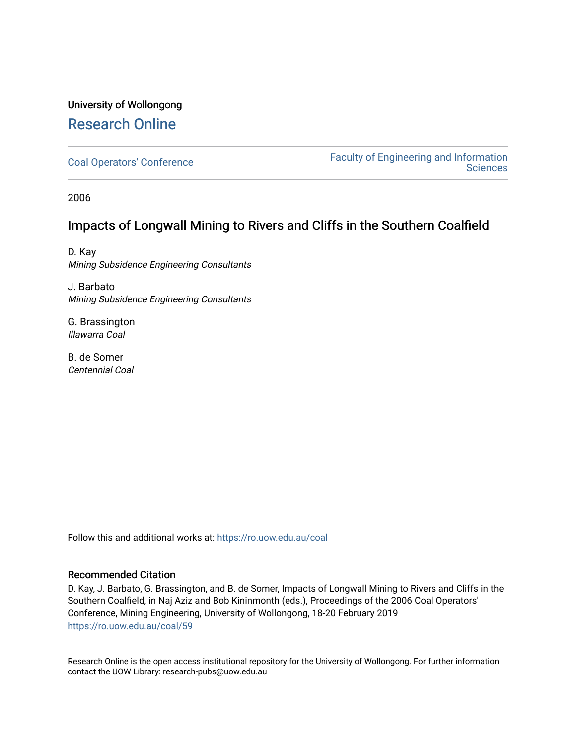# University of Wollongong [Research Online](https://ro.uow.edu.au/)

[Coal Operators' Conference](https://ro.uow.edu.au/coal) [Faculty of Engineering and Information](https://ro.uow.edu.au/eis)  **Sciences** 

2006

## Impacts of Longwall Mining to Rivers and Cliffs in the Southern Coalfield

D. Kay Mining Subsidence Engineering Consultants

J. Barbato Mining Subsidence Engineering Consultants

G. Brassington Illawarra Coal

B. de Somer Centennial Coal

Follow this and additional works at: [https://ro.uow.edu.au/coal](https://ro.uow.edu.au/coal?utm_source=ro.uow.edu.au%2Fcoal%2F59&utm_medium=PDF&utm_campaign=PDFCoverPages) 

### Recommended Citation

D. Kay, J. Barbato, G. Brassington, and B. de Somer, Impacts of Longwall Mining to Rivers and Cliffs in the Southern Coalfield, in Naj Aziz and Bob Kininmonth (eds.), Proceedings of the 2006 Coal Operators' Conference, Mining Engineering, University of Wollongong, 18-20 February 2019 [https://ro.uow.edu.au/coal/59](https://ro.uow.edu.au/coal/59?utm_source=ro.uow.edu.au%2Fcoal%2F59&utm_medium=PDF&utm_campaign=PDFCoverPages) 

Research Online is the open access institutional repository for the University of Wollongong. For further information contact the UOW Library: research-pubs@uow.edu.au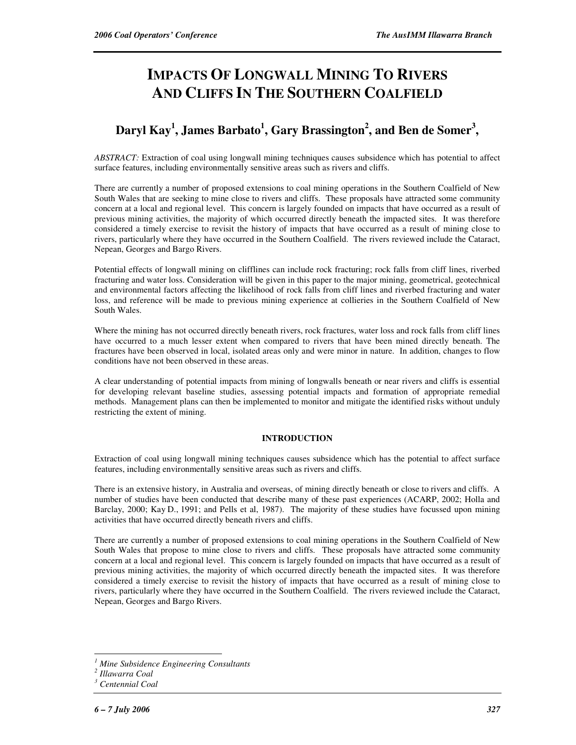# **IMPACTS OF LONGWALL MINING TO RIVERS AND CLIFFS IN THE SOUTHERN COALFIELD**

## **Daryl Kay<sup>1</sup> , James Barbato<sup>1</sup> , Gary Brassington<sup>2</sup> , and Ben de Somer<sup>3</sup> ,**

*ABSTRACT:* Extraction of coal using longwall mining techniques causes subsidence which has potential to affect surface features, including environmentally sensitive areas such as rivers and cliffs.

There are currently a number of proposed extensions to coal mining operations in the Southern Coalfield of New South Wales that are seeking to mine close to rivers and cliffs. These proposals have attracted some community concern at a local and regional level. This concern is largely founded on impacts that have occurred as a result of previous mining activities, the majority of which occurred directly beneath the impacted sites. It was therefore considered a timely exercise to revisit the history of impacts that have occurred as a result of mining close to rivers, particularly where they have occurred in the Southern Coalfield. The rivers reviewed include the Cataract, Nepean, Georges and Bargo Rivers.

Potential effects of longwall mining on clifflines can include rock fracturing; rock falls from cliff lines, riverbed fracturing and water loss. Consideration will be given in this paper to the major mining, geometrical, geotechnical and environmental factors affecting the likelihood of rock falls from cliff lines and riverbed fracturing and water loss, and reference will be made to previous mining experience at collieries in the Southern Coalfield of New South Wales.

Where the mining has not occurred directly beneath rivers, rock fractures, water loss and rock falls from cliff lines have occurred to a much lesser extent when compared to rivers that have been mined directly beneath. The fractures have been observed in local, isolated areas only and were minor in nature. In addition, changes to flow conditions have not been observed in these areas.

A clear understanding of potential impacts from mining of longwalls beneath or near rivers and cliffs is essential for developing relevant baseline studies, assessing potential impacts and formation of appropriate remedial methods. Management plans can then be implemented to monitor and mitigate the identified risks without unduly restricting the extent of mining.

### **INTRODUCTION**

Extraction of coal using longwall mining techniques causes subsidence which has the potential to affect surface features, including environmentally sensitive areas such as rivers and cliffs.

There is an extensive history, in Australia and overseas, of mining directly beneath or close to rivers and cliffs. A number of studies have been conducted that describe many of these past experiences (ACARP, 2002; Holla and Barclay, 2000; Kay D., 1991; and Pells et al, 1987). The majority of these studies have focussed upon mining activities that have occurred directly beneath rivers and cliffs.

There are currently a number of proposed extensions to coal mining operations in the Southern Coalfield of New South Wales that propose to mine close to rivers and cliffs. These proposals have attracted some community concern at a local and regional level. This concern is largely founded on impacts that have occurred as a result of previous mining activities, the majority of which occurred directly beneath the impacted sites. It was therefore considered a timely exercise to revisit the history of impacts that have occurred as a result of mining close to rivers, particularly where they have occurred in the Southern Coalfield. The rivers reviewed include the Cataract, Nepean, Georges and Bargo Rivers.

 $\overline{a}$ 

*<sup>1</sup> Mine Subsidence Engineering Consultants* 

*<sup>2</sup> Illawarra Coal* 

*<sup>3</sup> Centennial Coal*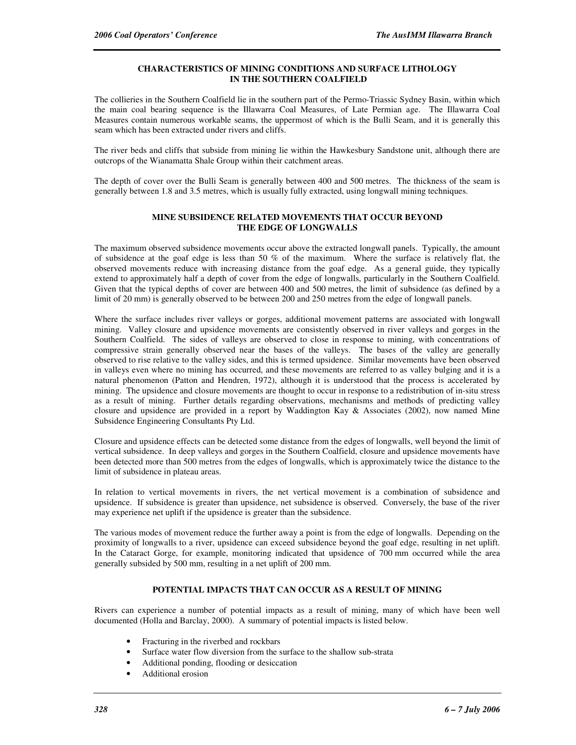#### **CHARACTERISTICS OF MINING CONDITIONS AND SURFACE LITHOLOGY IN THE SOUTHERN COALFIELD**

The collieries in the Southern Coalfield lie in the southern part of the Permo-Triassic Sydney Basin, within which the main coal bearing sequence is the Illawarra Coal Measures, of Late Permian age. The Illawarra Coal Measures contain numerous workable seams, the uppermost of which is the Bulli Seam, and it is generally this seam which has been extracted under rivers and cliffs.

The river beds and cliffs that subside from mining lie within the Hawkesbury Sandstone unit, although there are outcrops of the Wianamatta Shale Group within their catchment areas.

The depth of cover over the Bulli Seam is generally between 400 and 500 metres. The thickness of the seam is generally between 1.8 and 3.5 metres, which is usually fully extracted, using longwall mining techniques.

#### **MINE SUBSIDENCE RELATED MOVEMENTS THAT OCCUR BEYOND THE EDGE OF LONGWALLS**

The maximum observed subsidence movements occur above the extracted longwall panels. Typically, the amount of subsidence at the goaf edge is less than 50 % of the maximum. Where the surface is relatively flat, the observed movements reduce with increasing distance from the goaf edge. As a general guide, they typically extend to approximately half a depth of cover from the edge of longwalls, particularly in the Southern Coalfield. Given that the typical depths of cover are between 400 and 500 metres, the limit of subsidence (as defined by a limit of 20 mm) is generally observed to be between 200 and 250 metres from the edge of longwall panels.

Where the surface includes river valleys or gorges, additional movement patterns are associated with longwall mining. Valley closure and upsidence movements are consistently observed in river valleys and gorges in the Southern Coalfield. The sides of valleys are observed to close in response to mining, with concentrations of compressive strain generally observed near the bases of the valleys. The bases of the valley are generally observed to rise relative to the valley sides, and this is termed upsidence. Similar movements have been observed in valleys even where no mining has occurred, and these movements are referred to as valley bulging and it is a natural phenomenon (Patton and Hendren, 1972), although it is understood that the process is accelerated by mining. The upsidence and closure movements are thought to occur in response to a redistribution of in-situ stress as a result of mining. Further details regarding observations, mechanisms and methods of predicting valley closure and upsidence are provided in a report by Waddington Kay & Associates (2002), now named Mine Subsidence Engineering Consultants Pty Ltd.

Closure and upsidence effects can be detected some distance from the edges of longwalls, well beyond the limit of vertical subsidence. In deep valleys and gorges in the Southern Coalfield, closure and upsidence movements have been detected more than 500 metres from the edges of longwalls, which is approximately twice the distance to the limit of subsidence in plateau areas.

In relation to vertical movements in rivers, the net vertical movement is a combination of subsidence and upsidence. If subsidence is greater than upsidence, net subsidence is observed. Conversely, the base of the river may experience net uplift if the upsidence is greater than the subsidence.

The various modes of movement reduce the further away a point is from the edge of longwalls. Depending on the proximity of longwalls to a river, upsidence can exceed subsidence beyond the goaf edge, resulting in net uplift. In the Cataract Gorge, for example, monitoring indicated that upsidence of 700 mm occurred while the area generally subsided by 500 mm, resulting in a net uplift of 200 mm.

#### **POTENTIAL IMPACTS THAT CAN OCCUR AS A RESULT OF MINING**

Rivers can experience a number of potential impacts as a result of mining, many of which have been well documented (Holla and Barclay, 2000). A summary of potential impacts is listed below.

- Fracturing in the riverbed and rockbars
- Surface water flow diversion from the surface to the shallow sub-strata
- Additional ponding, flooding or desiccation
- Additional erosion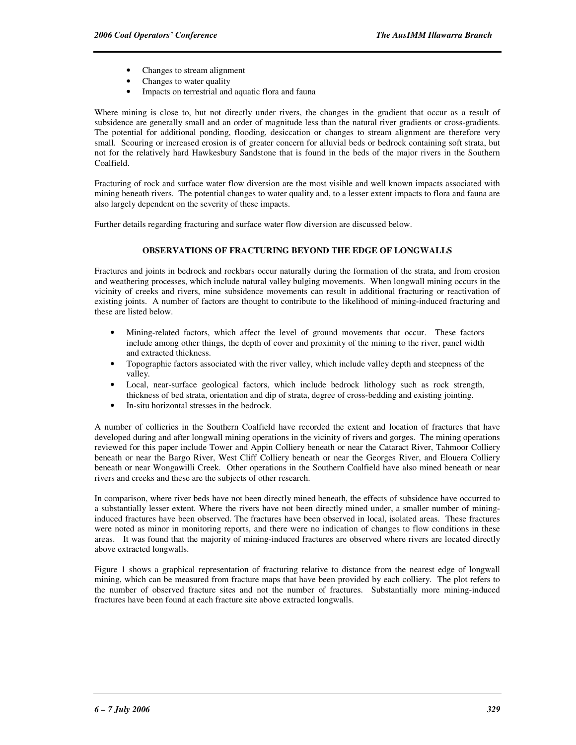- Changes to stream alignment
- Changes to water quality
- Impacts on terrestrial and aquatic flora and fauna

Where mining is close to, but not directly under rivers, the changes in the gradient that occur as a result of subsidence are generally small and an order of magnitude less than the natural river gradients or cross-gradients. The potential for additional ponding, flooding, desiccation or changes to stream alignment are therefore very small. Scouring or increased erosion is of greater concern for alluvial beds or bedrock containing soft strata, but not for the relatively hard Hawkesbury Sandstone that is found in the beds of the major rivers in the Southern Coalfield.

Fracturing of rock and surface water flow diversion are the most visible and well known impacts associated with mining beneath rivers. The potential changes to water quality and, to a lesser extent impacts to flora and fauna are also largely dependent on the severity of these impacts.

Further details regarding fracturing and surface water flow diversion are discussed below.

#### **OBSERVATIONS OF FRACTURING BEYOND THE EDGE OF LONGWALLS**

Fractures and joints in bedrock and rockbars occur naturally during the formation of the strata, and from erosion and weathering processes, which include natural valley bulging movements. When longwall mining occurs in the vicinity of creeks and rivers, mine subsidence movements can result in additional fracturing or reactivation of existing joints. A number of factors are thought to contribute to the likelihood of mining-induced fracturing and these are listed below.

- Mining-related factors, which affect the level of ground movements that occur. These factors include among other things, the depth of cover and proximity of the mining to the river, panel width and extracted thickness.
- Topographic factors associated with the river valley, which include valley depth and steepness of the valley.
- Local, near-surface geological factors, which include bedrock lithology such as rock strength, thickness of bed strata, orientation and dip of strata, degree of cross-bedding and existing jointing.
- In-situ horizontal stresses in the bedrock.

A number of collieries in the Southern Coalfield have recorded the extent and location of fractures that have developed during and after longwall mining operations in the vicinity of rivers and gorges. The mining operations reviewed for this paper include Tower and Appin Colliery beneath or near the Cataract River, Tahmoor Colliery beneath or near the Bargo River, West Cliff Colliery beneath or near the Georges River, and Elouera Colliery beneath or near Wongawilli Creek. Other operations in the Southern Coalfield have also mined beneath or near rivers and creeks and these are the subjects of other research.

In comparison, where river beds have not been directly mined beneath, the effects of subsidence have occurred to a substantially lesser extent. Where the rivers have not been directly mined under, a smaller number of mininginduced fractures have been observed. The fractures have been observed in local, isolated areas. These fractures were noted as minor in monitoring reports, and there were no indication of changes to flow conditions in these areas. It was found that the majority of mining-induced fractures are observed where rivers are located directly above extracted longwalls.

Figure 1 shows a graphical representation of fracturing relative to distance from the nearest edge of longwall mining, which can be measured from fracture maps that have been provided by each colliery. The plot refers to the number of observed fracture sites and not the number of fractures. Substantially more mining-induced fractures have been found at each fracture site above extracted longwalls.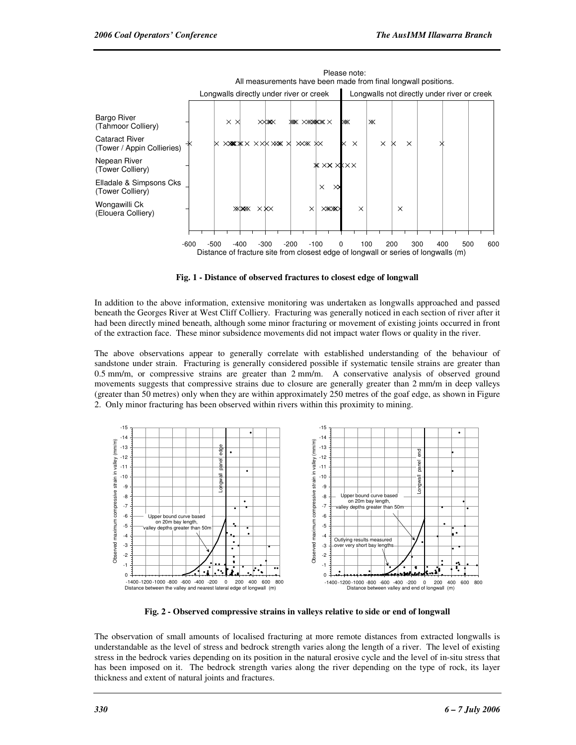

**Fig. 1 - Distance of observed fractures to closest edge of longwall** 

In addition to the above information, extensive monitoring was undertaken as longwalls approached and passed beneath the Georges River at West Cliff Colliery. Fracturing was generally noticed in each section of river after it had been directly mined beneath, although some minor fracturing or movement of existing joints occurred in front of the extraction face. These minor subsidence movements did not impact water flows or quality in the river.

The above observations appear to generally correlate with established understanding of the behaviour of sandstone under strain. Fracturing is generally considered possible if systematic tensile strains are greater than 0.5 mm/m, or compressive strains are greater than 2 mm/m. A conservative analysis of observed ground movements suggests that compressive strains due to closure are generally greater than 2 mm/m in deep valleys (greater than 50 metres) only when they are within approximately 250 metres of the goaf edge, as shown in Figure 2. Only minor fracturing has been observed within rivers within this proximity to mining.



**Fig. 2 - Observed compressive strains in valleys relative to side or end of longwall** 

The observation of small amounts of localised fracturing at more remote distances from extracted longwalls is understandable as the level of stress and bedrock strength varies along the length of a river. The level of existing stress in the bedrock varies depending on its position in the natural erosive cycle and the level of in-situ stress that has been imposed on it. The bedrock strength varies along the river depending on the type of rock, its layer thickness and extent of natural joints and fractures.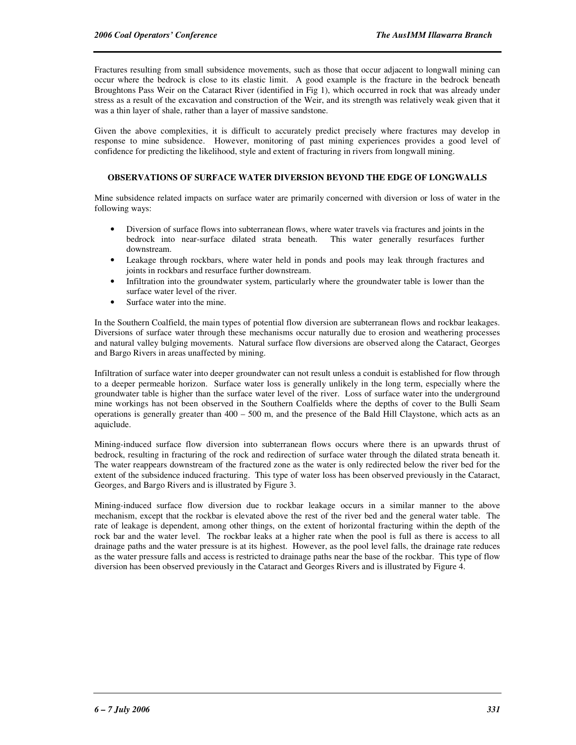Fractures resulting from small subsidence movements, such as those that occur adjacent to longwall mining can occur where the bedrock is close to its elastic limit. A good example is the fracture in the bedrock beneath Broughtons Pass Weir on the Cataract River (identified in Fig 1), which occurred in rock that was already under stress as a result of the excavation and construction of the Weir, and its strength was relatively weak given that it was a thin layer of shale, rather than a layer of massive sandstone.

Given the above complexities, it is difficult to accurately predict precisely where fractures may develop in response to mine subsidence. However, monitoring of past mining experiences provides a good level of confidence for predicting the likelihood, style and extent of fracturing in rivers from longwall mining.

#### **OBSERVATIONS OF SURFACE WATER DIVERSION BEYOND THE EDGE OF LONGWALLS**

Mine subsidence related impacts on surface water are primarily concerned with diversion or loss of water in the following ways:

- Diversion of surface flows into subterranean flows, where water travels via fractures and joints in the bedrock into near-surface dilated strata beneath. This water generally resurfaces further downstream.
- Leakage through rockbars, where water held in ponds and pools may leak through fractures and joints in rockbars and resurface further downstream.
- Infiltration into the groundwater system, particularly where the groundwater table is lower than the surface water level of the river.
- Surface water into the mine.

In the Southern Coalfield, the main types of potential flow diversion are subterranean flows and rockbar leakages. Diversions of surface water through these mechanisms occur naturally due to erosion and weathering processes and natural valley bulging movements. Natural surface flow diversions are observed along the Cataract, Georges and Bargo Rivers in areas unaffected by mining.

Infiltration of surface water into deeper groundwater can not result unless a conduit is established for flow through to a deeper permeable horizon. Surface water loss is generally unlikely in the long term, especially where the groundwater table is higher than the surface water level of the river. Loss of surface water into the underground mine workings has not been observed in the Southern Coalfields where the depths of cover to the Bulli Seam operations is generally greater than  $400 - 500$  m, and the presence of the Bald Hill Claystone, which acts as an aquiclude.

Mining-induced surface flow diversion into subterranean flows occurs where there is an upwards thrust of bedrock, resulting in fracturing of the rock and redirection of surface water through the dilated strata beneath it. The water reappears downstream of the fractured zone as the water is only redirected below the river bed for the extent of the subsidence induced fracturing. This type of water loss has been observed previously in the Cataract, Georges, and Bargo Rivers and is illustrated by Figure 3.

Mining-induced surface flow diversion due to rockbar leakage occurs in a similar manner to the above mechanism, except that the rockbar is elevated above the rest of the river bed and the general water table. The rate of leakage is dependent, among other things, on the extent of horizontal fracturing within the depth of the rock bar and the water level. The rockbar leaks at a higher rate when the pool is full as there is access to all drainage paths and the water pressure is at its highest. However, as the pool level falls, the drainage rate reduces as the water pressure falls and access is restricted to drainage paths near the base of the rockbar. This type of flow diversion has been observed previously in the Cataract and Georges Rivers and is illustrated by Figure 4.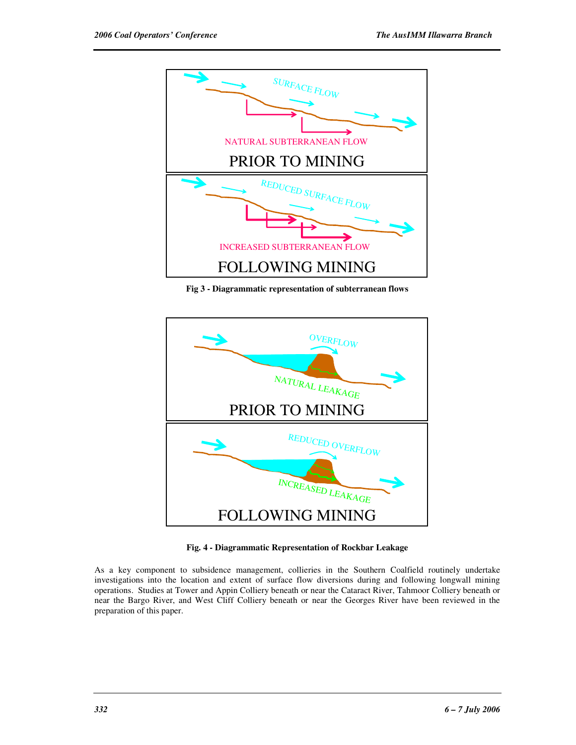

**Fig 3 - Diagrammatic representation of subterranean flows** 



**Fig. 4 - Diagrammatic Representation of Rockbar Leakage** 

As a key component to subsidence management, collieries in the Southern Coalfield routinely undertake investigations into the location and extent of surface flow diversions during and following longwall mining operations. Studies at Tower and Appin Colliery beneath or near the Cataract River, Tahmoor Colliery beneath or near the Bargo River, and West Cliff Colliery beneath or near the Georges River have been reviewed in the preparation of this paper.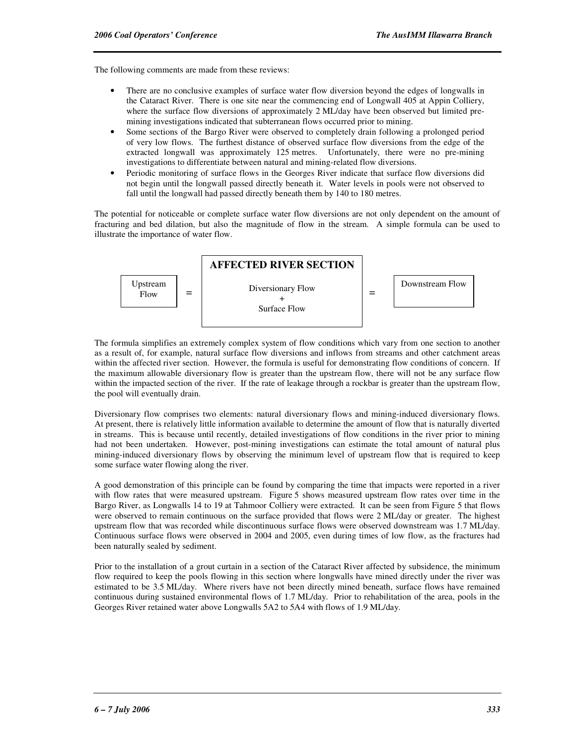The following comments are made from these reviews:

- There are no conclusive examples of surface water flow diversion beyond the edges of longwalls in the Cataract River. There is one site near the commencing end of Longwall 405 at Appin Colliery, where the surface flow diversions of approximately 2 ML/day have been observed but limited premining investigations indicated that subterranean flows occurred prior to mining.
- Some sections of the Bargo River were observed to completely drain following a prolonged period of very low flows. The furthest distance of observed surface flow diversions from the edge of the extracted longwall was approximately 125 metres. Unfortunately, there were no pre-mining investigations to differentiate between natural and mining-related flow diversions.
- Periodic monitoring of surface flows in the Georges River indicate that surface flow diversions did not begin until the longwall passed directly beneath it. Water levels in pools were not observed to fall until the longwall had passed directly beneath them by 140 to 180 metres.

The potential for noticeable or complete surface water flow diversions are not only dependent on the amount of fracturing and bed dilation, but also the magnitude of flow in the stream. A simple formula can be used to illustrate the importance of water flow.



The formula simplifies an extremely complex system of flow conditions which vary from one section to another as a result of, for example, natural surface flow diversions and inflows from streams and other catchment areas within the affected river section. However, the formula is useful for demonstrating flow conditions of concern. If the maximum allowable diversionary flow is greater than the upstream flow, there will not be any surface flow within the impacted section of the river. If the rate of leakage through a rockbar is greater than the upstream flow, the pool will eventually drain.

Diversionary flow comprises two elements: natural diversionary flows and mining-induced diversionary flows. At present, there is relatively little information available to determine the amount of flow that is naturally diverted in streams. This is because until recently, detailed investigations of flow conditions in the river prior to mining had not been undertaken. However, post-mining investigations can estimate the total amount of natural plus mining-induced diversionary flows by observing the minimum level of upstream flow that is required to keep some surface water flowing along the river.

A good demonstration of this principle can be found by comparing the time that impacts were reported in a river with flow rates that were measured upstream. Figure 5 shows measured upstream flow rates over time in the Bargo River, as Longwalls 14 to 19 at Tahmoor Colliery were extracted. It can be seen from Figure 5 that flows were observed to remain continuous on the surface provided that flows were 2 ML/day or greater. The highest upstream flow that was recorded while discontinuous surface flows were observed downstream was 1.7 ML/day. Continuous surface flows were observed in 2004 and 2005, even during times of low flow, as the fractures had been naturally sealed by sediment.

Prior to the installation of a grout curtain in a section of the Cataract River affected by subsidence, the minimum flow required to keep the pools flowing in this section where longwalls have mined directly under the river was estimated to be 3.5 ML/day. Where rivers have not been directly mined beneath, surface flows have remained continuous during sustained environmental flows of 1.7 ML/day. Prior to rehabilitation of the area, pools in the Georges River retained water above Longwalls 5A2 to 5A4 with flows of 1.9 ML/day.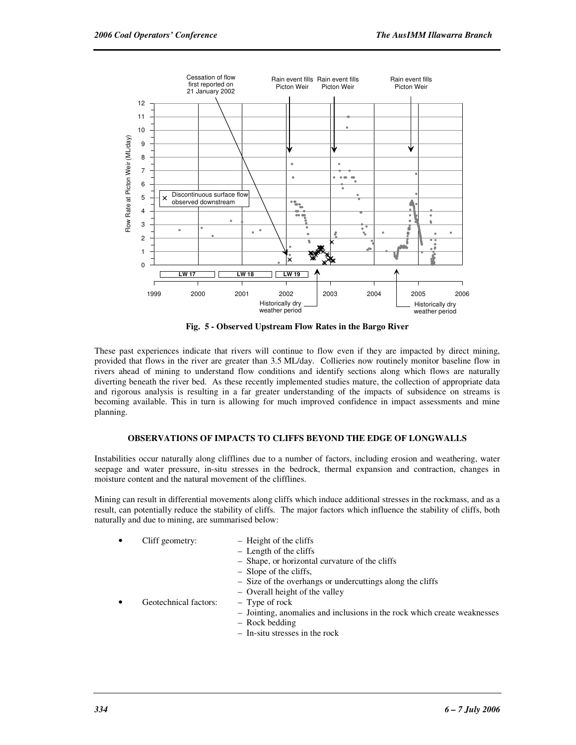

**Fig. 5 - Observed Upstream Flow Rates in the Bargo River** 

These past experiences indicate that rivers will continue to flow even if they are impacted by direct mining, provided that flows in the river are greater than 3.5 ML/day. Collieries now routinely monitor baseline flow in rivers ahead of mining to understand flow conditions and identify sections along which flows are naturally diverting beneath the river bed. As these recently implemented studies mature, the collection of appropriate data and rigorous analysis is resulting in a far greater understanding of the impacts of subsidence on streams is becoming available. This in turn is allowing for much improved confidence in impact assessments and mine planning.

#### **OBSERVATIONS OF IMPACTS TO CLIFFS BEYOND THE EDGE OF LONGWALLS**

Instabilities occur naturally along clifflines due to a number of factors, including erosion and weathering, water seepage and water pressure, in-situ stresses in the bedrock, thermal expansion and contraction, changes in moisture content and the natural movement of the clifflines.

Mining can result in differential movements along cliffs which induce additional stresses in the rockmass, and as a result, can potentially reduce the stability of cliffs. The major factors which influence the stability of cliffs, both naturally and due to mining, are summarised below:

- - Cliff geometry:  $-$  Height of the cliffs
		- Length of the cliffs
		- Shape, or horizontal curvature of the cliffs
		- Slope of the cliffs,
		- Size of the overhangs or undercuttings along the cliffs
		- Overall height of the valley
	- Geotechnical factors:  $-$  Type of rock
		- Jointing, anomalies and inclusions in the rock which create weaknesses
		- Rock bedding
		- In-situ stresses in the rock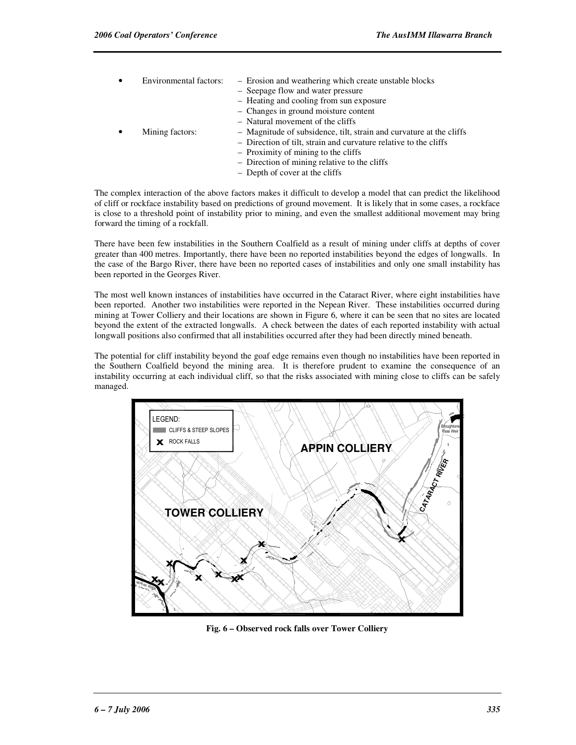- Environmental factors: Erosion and weathering which create unstable blocks – Seepage flow and water pressure – Heating and cooling from sun exposure – Changes in ground moisture content – Natural movement of the cliffs • Mining factors: – Magnitude of subsidence, tilt, strain and curvature at the cliffs – Direction of tilt, strain and curvature relative to the cliffs – Proximity of mining to the cliffs – Direction of mining relative to the cliffs
	- Depth of cover at the cliffs

The complex interaction of the above factors makes it difficult to develop a model that can predict the likelihood of cliff or rockface instability based on predictions of ground movement. It is likely that in some cases, a rockface is close to a threshold point of instability prior to mining, and even the smallest additional movement may bring forward the timing of a rockfall.

There have been few instabilities in the Southern Coalfield as a result of mining under cliffs at depths of cover greater than 400 metres. Importantly, there have been no reported instabilities beyond the edges of longwalls. In the case of the Bargo River, there have been no reported cases of instabilities and only one small instability has been reported in the Georges River.

The most well known instances of instabilities have occurred in the Cataract River, where eight instabilities have been reported. Another two instabilities were reported in the Nepean River. These instabilities occurred during mining at Tower Colliery and their locations are shown in Figure 6, where it can be seen that no sites are located beyond the extent of the extracted longwalls. A check between the dates of each reported instability with actual longwall positions also confirmed that all instabilities occurred after they had been directly mined beneath.

The potential for cliff instability beyond the goaf edge remains even though no instabilities have been reported in the Southern Coalfield beyond the mining area. It is therefore prudent to examine the consequence of an instability occurring at each individual cliff, so that the risks associated with mining close to cliffs can be safely managed.



**Fig. 6 – Observed rock falls over Tower Colliery**